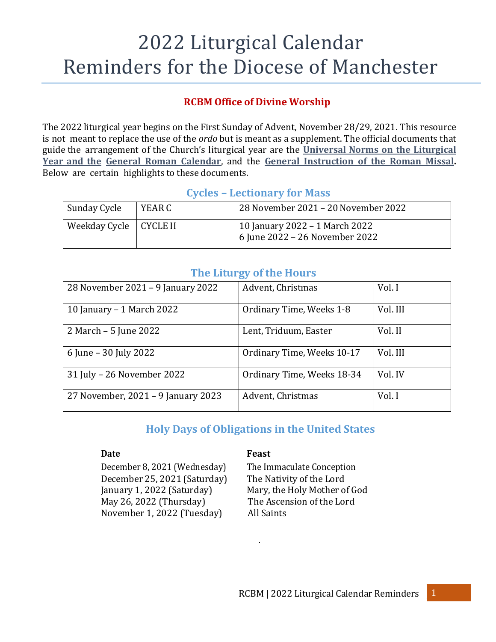# 2022 Liturgical Calendar Reminders for the Diocese of Manchester

#### **RCBM Office of Divine Worship**

The 2022 liturgical year begins on the First Sunday of Advent, November 28/29, 2021. This resource is not meant to replace the use of the *ordo* but is meant as a supplement. The official documents that guide the arrangement of the Church's liturgical year are the **[Universal](http://www.bostoncatholic.org/uploadedFiles/BostonCatholicorg/Offices_And_Services/Offices/Sub_Pages/Worship_and_Spiritual_Life/2013UniversalNormsontheLiturgicalYearandtheCalendar.pdf) Norms on the Liturgical [Year](http://www.bostoncatholic.org/uploadedFiles/BostonCatholicorg/Offices_And_Services/Offices/Sub_Pages/Worship_and_Spiritual_Life/2013UniversalNormsontheLiturgicalYearandtheCalendar.pdf) and the General Roman [Calendar](http://www.bostoncatholic.org/uploadedFiles/BostonCatholicorg/Offices_And_Services/Offices/Sub_Pages/Worship_and_Spiritual_Life/2013UniversalNormsontheLiturgicalYearandtheCalendar.pdf)**, and the **General [Instruction](http://www.usccb.org/prayer-and-worship/the-mass/general-instruction-of-the-roman-missal/) of the Roman Missal.** Below are certain highlights to these documents.

#### **Cycles – Lectionary for Mass**

| Sunday Cycle             | YEAR C | 28 November 2021 – 20 November 2022                              |
|--------------------------|--------|------------------------------------------------------------------|
| Weekday Cycle   CYCLE II |        | 10 January 2022 – 1 March 2022<br>6 June 2022 - 26 November 2022 |

### **The Liturgy of the Hours**

| 28 November 2021 – 9 January 2022  | Advent, Christmas          | Vol. I   |
|------------------------------------|----------------------------|----------|
| 10 January - 1 March 2022          | Ordinary Time, Weeks 1-8   | Vol. III |
| 2 March – 5 June 2022              | Lent, Triduum, Easter      | Vol. II  |
| 6 June – 30 July 2022              | Ordinary Time, Weeks 10-17 | Vol. III |
| 31 July - 26 November 2022         | Ordinary Time, Weeks 18-34 | Vol. IV  |
| 27 November, 2021 – 9 January 2023 | Advent, Christmas          | Vol. I   |

# **Holy Days of Obligations in the United States**

December 8, 2021 (Wednesday) The Immaculate Conception December 25, 2021 (Saturday) The Nativity of the Lord January 1, 2022 (Saturday) Mary, the Holy Mother of God May 26, 2022 (Thursday) The Ascension of the Lord November 1, 2022 (Tuesday) All Saints

#### **Date Feast**

.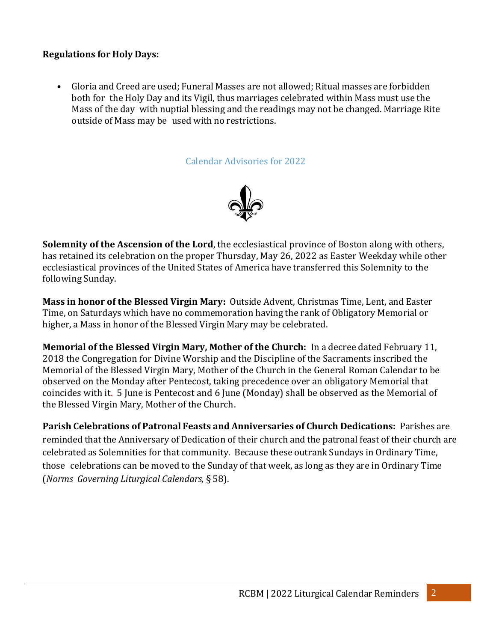#### **Regulations for Holy Days:**

• Gloria and Creed are used; Funeral Masses are not allowed; Ritual masses are forbidden both for the Holy Day and its Vigil, thus marriages celebrated within Mass must use the Mass of the day with nuptial blessing and the readings may not be changed. Marriage Rite outside of Mass may be used with no restrictions.

Calendar Advisories for 2022



**Solemnity of the Ascension of the Lord**, the ecclesiastical province of Boston along with others, has retained its celebration on the proper Thursday, May 26, 2022 as Easter Weekday while other ecclesiastical provinces of the United States of America have transferred this Solemnity to the following Sunday.

**Mass in honor of the Blessed Virgin Mary:** Outside Advent, Christmas Time, Lent, and Easter Time, on Saturdays which have no commemoration having the rank of Obligatory Memorial or higher, a Mass in honor of the Blessed Virgin Mary may be celebrated.

**Memorial of the Blessed Virgin Mary, Mother of the Church:** In a decree dated February 11, 2018 the Congregation for Divine Worship and the Discipline of the Sacraments inscribed the Memorial of the Blessed Virgin Mary, Mother of the Church in the General Roman Calendar to be observed on the Monday after Pentecost, taking precedence over an obligatory Memorial that coincides with it. 5 June is Pentecost and 6 June (Monday) shall be observed as the Memorial of the Blessed Virgin Mary, Mother of the Church.

**Parish Celebrations of Patronal Feasts and Anniversaries of Church Dedications:** Parishes are reminded that the Anniversary of Dedication of their church and the patronal feast of their church are celebrated as Solemnities for that community. Because these outrank Sundays in Ordinary Time, those celebrations can be moved to the Sunday of that week, as long as they are in Ordinary Time (*Norms Governing Liturgical Calendars,* § 58).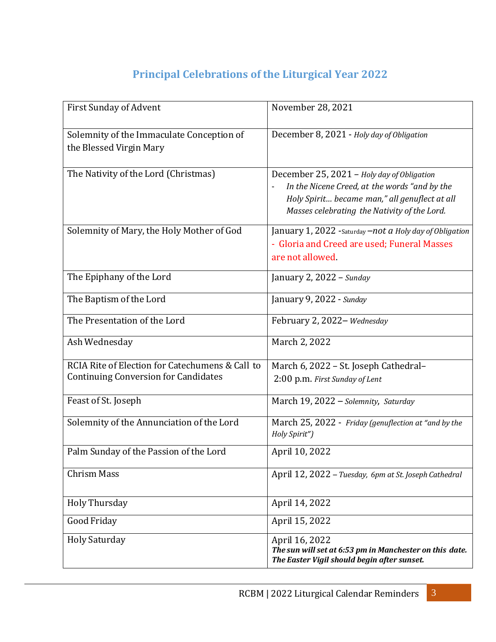# **Principal Celebrations of the Liturgical Year 2022**

| <b>First Sunday of Advent</b>                                                                  | November 28, 2021                                                                                                                                                                            |
|------------------------------------------------------------------------------------------------|----------------------------------------------------------------------------------------------------------------------------------------------------------------------------------------------|
| Solemnity of the Immaculate Conception of<br>the Blessed Virgin Mary                           | December 8, 2021 - Holy day of Obligation                                                                                                                                                    |
| The Nativity of the Lord (Christmas)                                                           | December 25, 2021 - Holy day of Obligation<br>In the Nicene Creed, at the words "and by the<br>Holy Spirit became man," all genuflect at all<br>Masses celebrating the Nativity of the Lord. |
| Solemnity of Mary, the Holy Mother of God                                                      | January 1, 2022 - Saturday – not a Holy day of Obligation<br>- Gloria and Creed are used; Funeral Masses<br>are not allowed.                                                                 |
| The Epiphany of the Lord                                                                       | January 2, $2022 -$ Sunday                                                                                                                                                                   |
| The Baptism of the Lord                                                                        | January 9, 2022 - Sunday                                                                                                                                                                     |
| The Presentation of the Lord                                                                   | February 2, 2022-Wednesday                                                                                                                                                                   |
| Ash Wednesday                                                                                  | March 2, 2022                                                                                                                                                                                |
| RCIA Rite of Election for Catechumens & Call to<br><b>Continuing Conversion for Candidates</b> | March 6, 2022 - St. Joseph Cathedral-<br>2:00 p.m. First Sunday of Lent                                                                                                                      |
| Feast of St. Joseph                                                                            | March 19, 2022 - Solemnity, Saturday                                                                                                                                                         |
| Solemnity of the Annunciation of the Lord                                                      | March 25, 2022 - Friday (genuflection at "and by the<br>Holy Spirit")                                                                                                                        |
| Palm Sunday of the Passion of the Lord                                                         | April 10, 2022                                                                                                                                                                               |
| <b>Chrism Mass</b>                                                                             | April 12, 2022 – Tuesday, 6pm at St. Joseph Cathedral                                                                                                                                        |
| <b>Holy Thursday</b>                                                                           | April 14, 2022                                                                                                                                                                               |
| Good Friday                                                                                    | April 15, 2022                                                                                                                                                                               |
| <b>Holy Saturday</b>                                                                           | April 16, 2022<br>The sun will set at 6:53 pm in Manchester on this date.<br>The Easter Vigil should begin after sunset.                                                                     |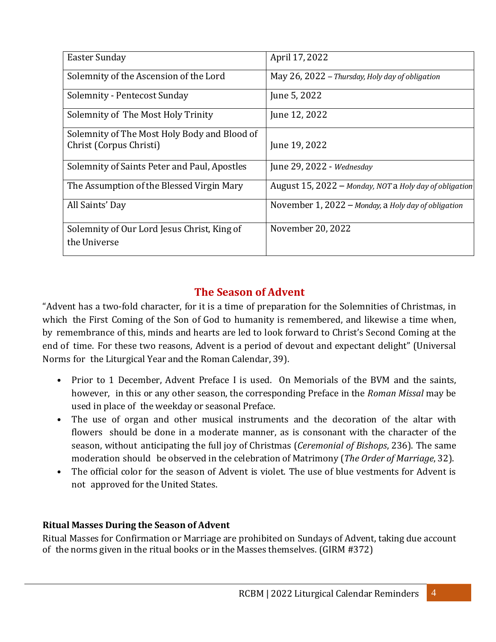| <b>Easter Sunday</b>                         | April 17, 2022                                         |
|----------------------------------------------|--------------------------------------------------------|
| Solemnity of the Ascension of the Lord       | May 26, 2022 – Thursday, Holy day of obligation        |
| Solemnity - Pentecost Sunday                 | June 5, 2022                                           |
| Solemnity of The Most Holy Trinity           | June 12, 2022                                          |
| Solemnity of The Most Holy Body and Blood of |                                                        |
| Christ (Corpus Christi)                      | June 19, 2022                                          |
| Solemnity of Saints Peter and Paul, Apostles | June 29, 2022 - Wednesday                              |
| The Assumption of the Blessed Virgin Mary    | August 15, 2022 - Monday, NOT a Holy day of obligation |
| All Saints' Day                              | November 1, 2022 – Monday, a Holy day of obligation    |
| Solemnity of Our Lord Jesus Christ, King of  | November 20, 2022                                      |
| the Universe                                 |                                                        |
|                                              |                                                        |

# **The Season of Advent**

"Advent has a two-fold character, for it is a time of preparation for the Solemnities of Christmas, in which the First Coming of the Son of God to humanity is remembered, and likewise a time when, by remembrance of this, minds and hearts are led to look forward to Christ's Second Coming at the end of time. For these two reasons, Advent is a period of devout and expectant delight" (Universal Norms for the Liturgical Year and the Roman Calendar, 39).

- Prior to 1 December, Advent Preface I is used. On Memorials of the BVM and the saints, however, in this or any other season, the corresponding Preface in the *Roman Missal* may be used in place of the weekday or seasonal Preface.
- The use of organ and other musical instruments and the decoration of the altar with flowers should be done in a moderate manner, as is consonant with the character of the season, without anticipating the full joy of Christmas (*Ceremonial of Bishops*, 236). The same moderation should be observed in the celebration of Matrimony (*The Order of Marriage*, 32).
- The official color for the season of Advent is violet. The use of blue vestments for Advent is not approved for the United States.

#### **Ritual Masses During the Season of Advent**

Ritual Masses for Confirmation or Marriage are prohibited on Sundays of Advent, taking due account of the norms given in the ritual books or in the Masses themselves. (GIRM #372)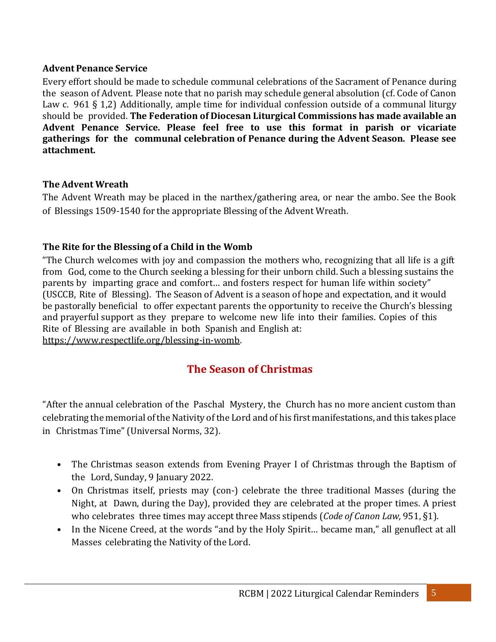#### **Advent Penance Service**

Every effort should be made to schedule communal celebrations of the Sacrament of Penance during the season of Advent. Please note that no parish may schedule general absolution (cf. Code of Canon Law c. 961 § 1,2) Additionally, ample time for individual confession outside of a communal liturgy should be provided. **The Federation of Diocesan Liturgical Commissions has made available an Advent Penance Service. Please feel free to use this format in parish or vicariate gatherings for the communal celebration of Penance during the Advent Season. Please see attachment.**

#### **The Advent Wreath**

The Advent Wreath may be placed in the narthex/gathering area, or near the ambo. See the Book of Blessings 1509-1540 for the appropriate Blessing of the Advent Wreath.

#### **The Rite for the Blessing of a Child in the Womb**

"The Church welcomes with joy and compassion the mothers who, recognizing that all life is a gift from God, come to the Church seeking a blessing for their unborn child. Such a blessing sustains the parents by imparting grace and comfort… and fosters respect for human life within society" (USCCB, Rite of Blessing). The Season of Advent is a season of hope and expectation, and it would be pastorally beneficial to offer expectant parents the opportunity to receive the Church's blessing and prayerful support as they prepare to welcome new life into their families. Copies of this Rite of Blessing are available in both Spanish and English at: [https://www.respectlife.org/blessing-in-womb.](https://www.respectlife.org/blessing-in-womb)

# **The Season of Christmas**

"After the annual celebration of the Paschal Mystery, the Church has no more ancient custom than celebrating the memorial of the Nativity of the Lord and of his first manifestations, and this takes place in Christmas Time" (Universal Norms, 32).

- The Christmas season extends from Evening Prayer I of Christmas through the Baptism of the Lord, Sunday, 9 January 2022.
- On Christmas itself, priests may (con-) celebrate the three traditional Masses (during the Night, at Dawn, during the Day), provided they are celebrated at the proper times. A priest who celebrates three times may accept three Mass stipends (*Code of Canon Law,* 951, §1).
- In the Nicene Creed, at the words "and by the Holy Spirit... became man," all genuflect at all Masses celebrating the Nativity of the Lord.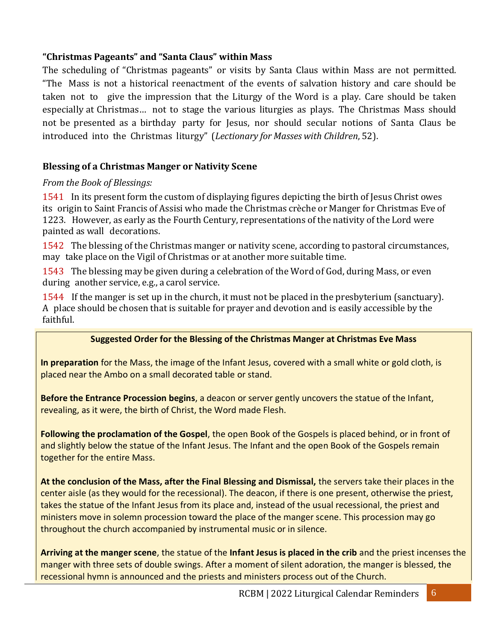#### **"Christmas Pageants" and "Santa Claus" within Mass**

The scheduling of "Christmas pageants" or visits by Santa Claus within Mass are not permitted. "The Mass is not a historical reenactment of the events of salvation history and care should be taken not to give the impression that the Liturgy of the Word is a play. Care should be taken especially at Christmas… not to stage the various liturgies as plays. The Christmas Mass should not be presented as a birthday party for Jesus, nor should secular notions of Santa Claus be introduced into the Christmas liturgy" (*Lectionary for Masses with Children*, 52).

#### **Blessing of a Christmas Manger or Nativity Scene**

#### *From the Book of Blessings:*

1541 In its present form the custom of displaying figures depicting the birth of Jesus Christ owes its origin to Saint Francis of Assisi who made the Christmas crèche or Manger for Christmas Eve of 1223. However, as early as the Fourth Century, representations of the nativity of the Lord were painted as wall decorations.

1542 The blessing of the Christmas manger or nativity scene, according to pastoral circumstances, may take place on the Vigil of Christmas or at another more suitable time.

1543 The blessing may be given during a celebration of the Word of God, during Mass, or even during another service, e.g., a carol service.

1544 If the manger is set up in the church, it must not be placed in the presbyterium (sanctuary). A place should be chosen that is suitable for prayer and devotion and is easily accessible by the faithful.

# Suggested Order for the Blessing of the Christmas Manger at Christmas Eve Mass

In preparation for the Mass, the image of the Infant Jesus, covered with a small white or gold cloth, is placed near the Ambo on a small decorated table or stand. placed near the Ambo on a small decorated table or stand.

Before the Entrance Procession begins, a deacon or server gently uncovers the statue of the Infant, *Following the proclamation of the Gospel*, the open Book of the Gospels is placed behind, or in front revealing, as it were, the birth of Christ, the Word made Flesh.

Following the proclamation of the Gospel, the open Book of the Gospels is placed behind, or in front of and slightly below the statue of the Infant Jesus. The Infant and the open Book of the Gospels remain *At the conclusion of the Mass, after the Final Blessing and Dismissal*, the servers take their together for the entire Mass.

At the conclusion of the Mass, after the Final Blessing and Dismissal, the servers take their places in the center aisle (as they would for the recessional). The deacon, if there is one present, otherwise the priest, takes the statue of the Infant Jesus from its place and, instead of the usual recessional, the priest and ministers move in solemn procession toward the place of the manger scene. This procession may go throughout the church accompanied by instrumental music or in silence.<br>
Support the church accompanied by instrumental music or in silence.

incenses the manger with three sets of double swings. After a moment of silent adoration, the Arriving at the manger scene, the statue of the **Infant Jesus is placed in the crib** and the priest incenses the **Arriving** manger with three sets of double swings. After a moment of silent adoration, the manger is blessed, the manger recessional hymn is announced and the priests and ministers process out of the Church.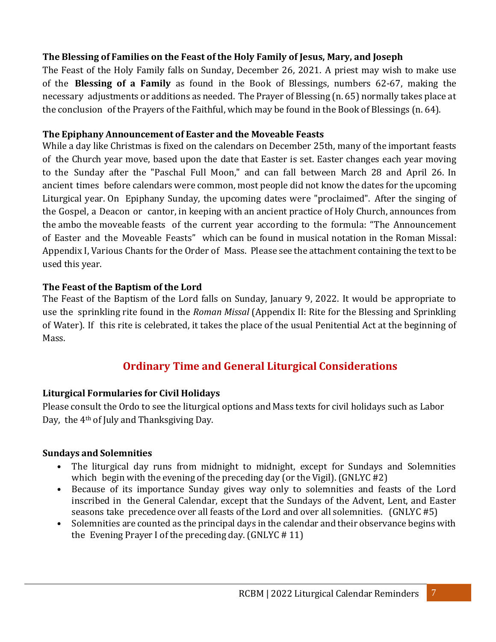#### **The Blessing of Families on the Feast of the Holy Family of Jesus, Mary, and Joseph**

The Feast of the Holy Family falls on Sunday, December 26, 2021. A priest may wish to make use of the **Blessing of a Family** as found in the Book of Blessings, numbers 62-67, making the necessary adjustments or additions as needed. The Prayer of Blessing (n. 65) normally takes place at the conclusion of the Prayers of the Faithful, which may be found in the Book of Blessings (n. 64).

#### **The Epiphany Announcement of Easter and the Moveable Feasts**

While a day like Christmas is fixed on the calendars on December 25th, many of the important feasts of the Church year move, based upon the date that Easter is set. Easter changes each year moving to the Sunday after the "Paschal Full Moon," and can fall between March 28 and April 26. In ancient times before calendars were common, most people did not know the dates for the upcoming Liturgical year. On Epiphany Sunday, the upcoming dates were "proclaimed". After the singing of the Gospel, a Deacon or cantor, in keeping with an ancient practice of Holy Church, announces from the ambo the moveable feasts of the current year according to the formula: "The Announcement of Easter and the Moveable Feasts" which can be found in musical notation in the Roman Missal: Appendix I, Various Chants for the Order of Mass. Please see the attachment containing the text to be used this year.

#### **The Feast of the Baptism of the Lord**

The Feast of the Baptism of the Lord falls on Sunday, January 9, 2022. It would be appropriate to use the sprinkling rite found in the *Roman Missal* (Appendix II: Rite for the Blessing and Sprinkling of Water). If this rite is celebrated, it takes the place of the usual Penitential Act at the beginning of Mass.

# **Ordinary Time and General Liturgical Considerations**

#### **Liturgical Formularies for Civil Holidays**

Please consult the Ordo to see the liturgical options and Mass texts for civil holidays such as Labor Day, the  $4<sup>th</sup>$  of July and Thanksgiving Day.

#### **Sundays and Solemnities**

- The liturgical day runs from midnight to midnight, except for Sundays and Solemnities which begin with the evening of the preceding day (or the Vigil). (GNLYC #2)
- Because of its importance Sunday gives way only to solemnities and feasts of the Lord inscribed in the General Calendar, except that the Sundays of the Advent, Lent, and Easter seasons take precedence over all feasts of the Lord and over all solemnities. (GNLYC #5)
- Solemnities are counted as the principal days in the calendar and their observance begins with the Evening Prayer I of the preceding day. (GNLYC # 11)